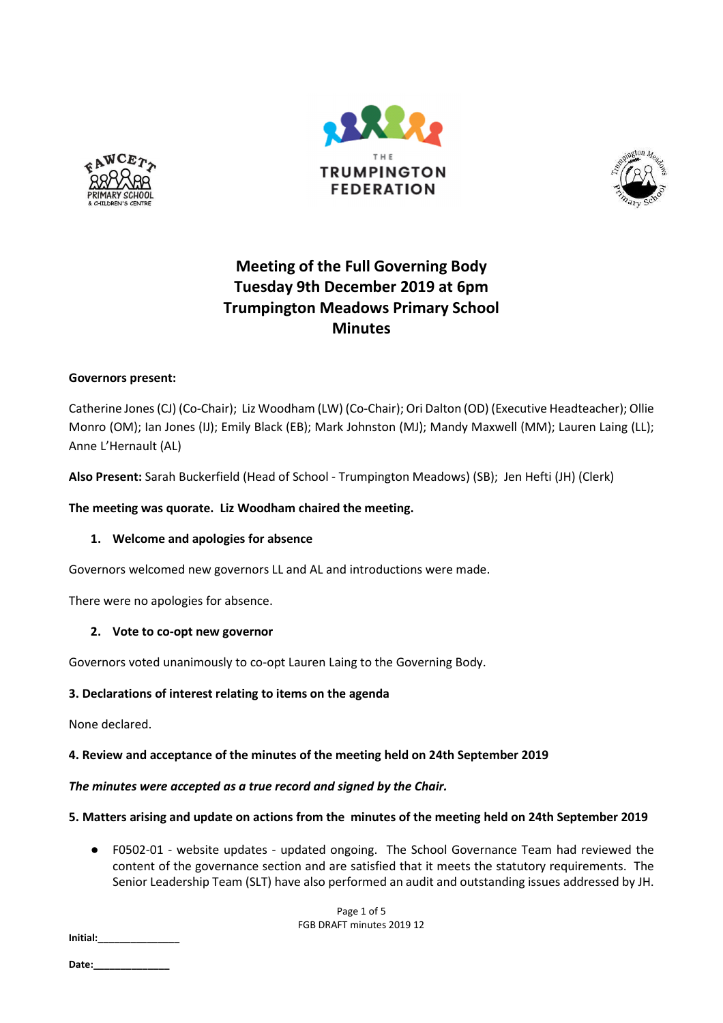





# **Meeting of the Full Governing Body Tuesday 9th December 2019 at 6pm Trumpington Meadows Primary School Minutes**

# **Governors present:**

Catherine Jones (CJ) (Co-Chair); Liz Woodham (LW) (Co-Chair); Ori Dalton (OD) (Executive Headteacher); Ollie Monro (OM); Ian Jones (IJ); Emily Black (EB); Mark Johnston (MJ); Mandy Maxwell (MM); Lauren Laing (LL); Anne L'Hernault (AL)

**Also Present:** Sarah Buckerfield (Head of School - Trumpington Meadows) (SB); Jen Hefti (JH) (Clerk)

**The meeting was quorate. Liz Woodham chaired the meeting.** 

## **1. Welcome and apologies for absence**

Governors welcomed new governors LL and AL and introductions were made.

There were no apologies for absence.

## **2. Vote to co-opt new governor**

Governors voted unanimously to co-opt Lauren Laing to the Governing Body.

# **3. Declarations of interest relating to items on the agenda**

None declared.

# **4. Review and acceptance of the minutes of the meeting held on 24th September 2019**

## *The minutes were accepted as a true record and signed by the Chair.*

# **5. Matters arising and update on actions from the minutes of the meeting held on 24th September 2019**

● F0502-01 - website updates - updated ongoing. The School Governance Team had reviewed the content of the governance section and are satisfied that it meets the statutory requirements. The Senior Leadership Team (SLT) have also performed an audit and outstanding issues addressed by JH.

> Page 1 of 5 FGB DRAFT minutes 2019 12

**Initial:\_\_\_\_\_\_\_\_\_\_\_\_\_\_\_**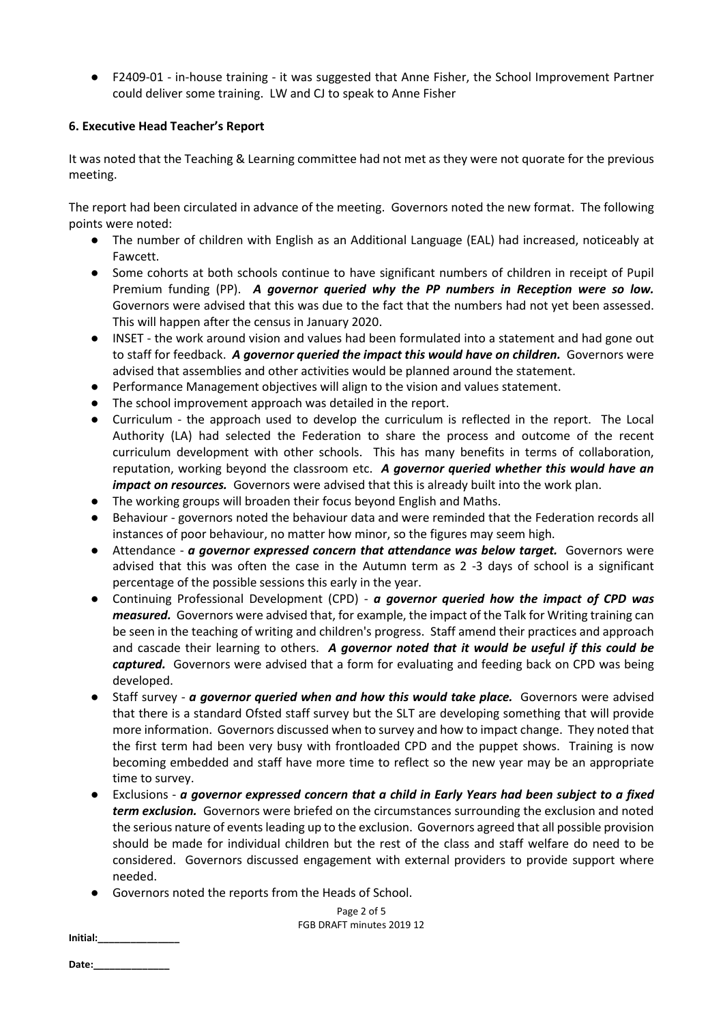● F2409-01 - in-house training - it was suggested that Anne Fisher, the School Improvement Partner could deliver some training. LW and CJ to speak to Anne Fisher

# **6. Executive Head Teacher's Report**

It was noted that the Teaching & Learning committee had not met as they were not quorate for the previous meeting.

The report had been circulated in advance of the meeting. Governors noted the new format. The following points were noted:

- The number of children with English as an Additional Language (EAL) had increased, noticeably at Fawcett.
- Some cohorts at both schools continue to have significant numbers of children in receipt of Pupil Premium funding (PP). *A governor queried why the PP numbers in Reception were so low.* Governors were advised that this was due to the fact that the numbers had not yet been assessed. This will happen after the census in January 2020.
- INSET the work around vision and values had been formulated into a statement and had gone out to staff for feedback. *A governor queried the impact this would have on children.* Governors were advised that assemblies and other activities would be planned around the statement.
- Performance Management objectives will align to the vision and values statement.
- The school improvement approach was detailed in the report.
- Curriculum the approach used to develop the curriculum is reflected in the report. The Local Authority (LA) had selected the Federation to share the process and outcome of the recent curriculum development with other schools. This has many benefits in terms of collaboration, reputation, working beyond the classroom etc. *A governor queried whether this would have an impact on resources.* Governors were advised that this is already built into the work plan.
- The working groups will broaden their focus beyond English and Maths.
- Behaviour governors noted the behaviour data and were reminded that the Federation records all instances of poor behaviour, no matter how minor, so the figures may seem high.
- **•** Attendance *a governor expressed concern that attendance was below target.* Governors were advised that this was often the case in the Autumn term as 2 -3 days of school is a significant percentage of the possible sessions this early in the year.
- Continuing Professional Development (CPD) *a governor queried how the impact of CPD was measured.* Governors were advised that, for example, the impact of the Talk for Writing training can be seen in the teaching of writing and children's progress. Staff amend their practices and approach and cascade their learning to others. *A governor noted that it would be useful if this could be captured.* Governors were advised that a form for evaluating and feeding back on CPD was being developed.
- Staff survey *a governor queried when and how this would take place.* Governors were advised that there is a standard Ofsted staff survey but the SLT are developing something that will provide more information. Governors discussed when to survey and how to impact change. They noted that the first term had been very busy with frontloaded CPD and the puppet shows. Training is now becoming embedded and staff have more time to reflect so the new year may be an appropriate time to survey.
- Exclusions *a governor expressed concern that a child in Early Years had been subject to a fixed term exclusion.* Governors were briefed on the circumstances surrounding the exclusion and noted the serious nature of events leading up to the exclusion. Governors agreed that all possible provision should be made for individual children but the rest of the class and staff welfare do need to be considered. Governors discussed engagement with external providers to provide support where needed.
- Governors noted the reports from the Heads of School.

**Initial:\_\_\_\_\_\_\_\_\_\_\_\_\_\_\_** 

Date: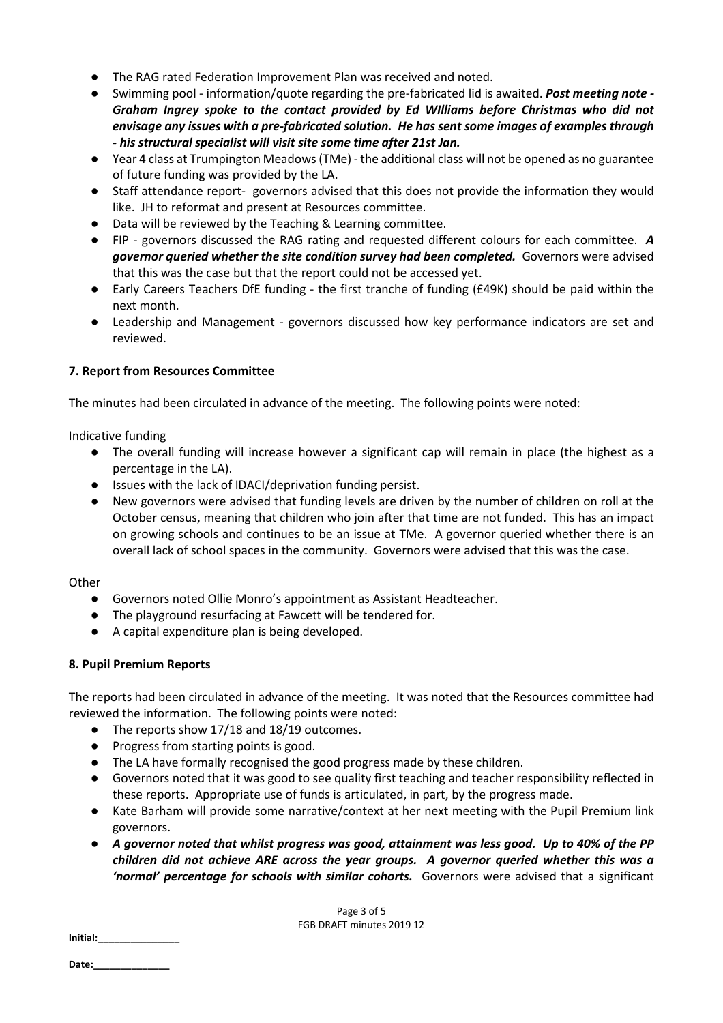- The RAG rated Federation Improvement Plan was received and noted.
- Swimming pool information/quote regarding the pre-fabricated lid is awaited. *Post meeting note Graham Ingrey spoke to the contact provided by Ed WIlliams before Christmas who did not envisage any issues with a pre-fabricated solution. He has sent some images of examples through - his structural specialist will visit site some time after 21st Jan.*
- Year 4 class at Trumpington Meadows (TMe) the additional class will not be opened as no guarantee of future funding was provided by the LA.
- Staff attendance report- governors advised that this does not provide the information they would like. JH to reformat and present at Resources committee.
- Data will be reviewed by the Teaching & Learning committee.
- FIP governors discussed the RAG rating and requested different colours for each committee. *A governor queried whether the site condition survey had been completed.* Governors were advised that this was the case but that the report could not be accessed yet.
- Early Careers Teachers DfE funding the first tranche of funding (£49K) should be paid within the next month.
- Leadership and Management governors discussed how key performance indicators are set and reviewed.

# **7. Report from Resources Committee**

The minutes had been circulated in advance of the meeting. The following points were noted:

Indicative funding

- The overall funding will increase however a significant cap will remain in place (the highest as a percentage in the LA).
- Issues with the lack of IDACI/deprivation funding persist.
- New governors were advised that funding levels are driven by the number of children on roll at the October census, meaning that children who join after that time are not funded. This has an impact on growing schools and continues to be an issue at TMe. A governor queried whether there is an overall lack of school spaces in the community. Governors were advised that this was the case.

## **Other**

- Governors noted Ollie Monro's appointment as Assistant Headteacher.
- The playground resurfacing at Fawcett will be tendered for.
- A capital expenditure plan is being developed.

## **8. Pupil Premium Reports**

The reports had been circulated in advance of the meeting. It was noted that the Resources committee had reviewed the information. The following points were noted:

- The reports show 17/18 and 18/19 outcomes.
- Progress from starting points is good.
- The LA have formally recognised the good progress made by these children.
- Governors noted that it was good to see quality first teaching and teacher responsibility reflected in these reports. Appropriate use of funds is articulated, in part, by the progress made.
- Kate Barham will provide some narrative/context at her next meeting with the Pupil Premium link governors.
- *A governor noted that whilst progress was good, attainment was less good. Up to 40% of the PP children did not achieve ARE across the year groups. A governor queried whether this was a 'normal' percentage for schools with similar cohorts.* Governors were advised that a significant

Page 3 of 5 FGB DRAFT minutes 2019 12

**Initial:\_\_\_\_\_\_\_\_\_\_\_\_\_\_\_**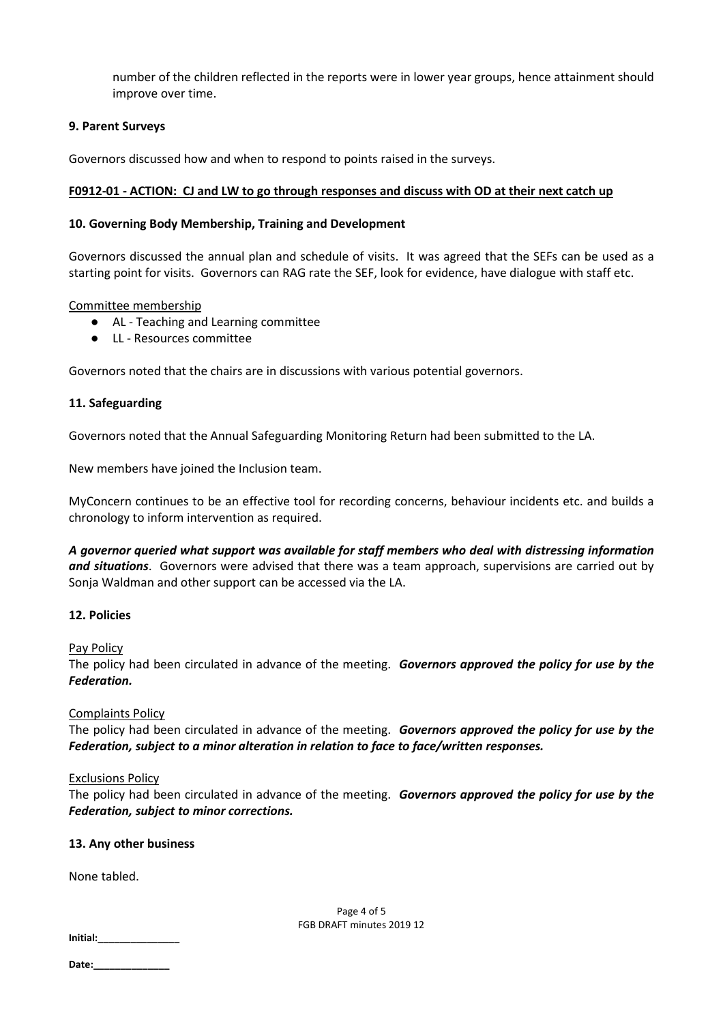number of the children reflected in the reports were in lower year groups, hence attainment should improve over time.

# **9. Parent Surveys**

Governors discussed how and when to respond to points raised in the surveys.

# **F0912-01 - ACTION: CJ and LW to go through responses and discuss with OD at their next catch up**

# **10. Governing Body Membership, Training and Development**

Governors discussed the annual plan and schedule of visits. It was agreed that the SEFs can be used as a starting point for visits. Governors can RAG rate the SEF, look for evidence, have dialogue with staff etc.

## Committee membership

- AL Teaching and Learning committee
- LL Resources committee

Governors noted that the chairs are in discussions with various potential governors.

# **11. Safeguarding**

Governors noted that the Annual Safeguarding Monitoring Return had been submitted to the LA.

New members have joined the Inclusion team.

MyConcern continues to be an effective tool for recording concerns, behaviour incidents etc. and builds a chronology to inform intervention as required.

*A governor queried what support was available for staff members who deal with distressing information and situations*. Governors were advised that there was a team approach, supervisions are carried out by Sonja Waldman and other support can be accessed via the LA.

## **12. Policies**

Pay Policy

The policy had been circulated in advance of the meeting. *Governors approved the policy for use by the Federation.* 

## Complaints Policy

The policy had been circulated in advance of the meeting. *Governors approved the policy for use by the Federation, subject to a minor alteration in relation to face to face/written responses.* 

## Exclusions Policy

The policy had been circulated in advance of the meeting. *Governors approved the policy for use by the Federation, subject to minor corrections.* 

## **13. Any other business**

None tabled.

**Initial:\_\_\_\_\_\_\_\_\_\_\_\_\_\_\_** 

Page 4 of 5 FGB DRAFT minutes 2019 12